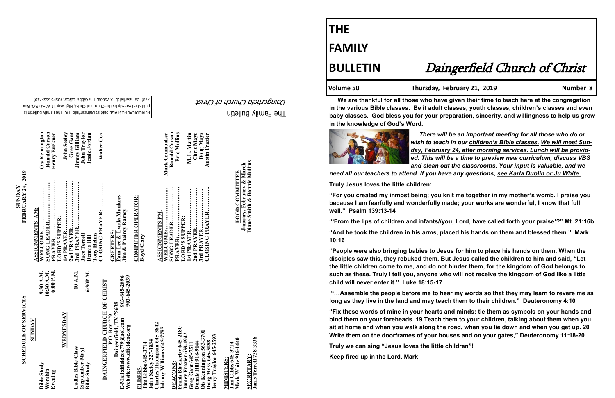The Family Bulletin

Daingerfield Church of Christ

# **SCHEDULE OF SERVICES SCHEDULE OF SERVICES**

PERIODICAL POSTAGE paid at Daingerfield, TX. The Family Bulletin is published weekly by the Church of Christ, Highway 11 West (P.O. Box 720) - 779). Daingerfield. TX 75638. Tim Gibbs, Editor. (USPS 552

903-645-2896<br>903-645-2039 **Website:www.dfieldcoc.org 903-645-2039 E-Mail:dfieldcoc779@aol.com 903-645-2896** P.O. Box 779<br>E-Mail:dfieldcoc779@aol.com<br>Website:www.dfieldcoc.org<br>Website:www.dfieldcoc.org **Daingerfield, TX 75638**

| SUNDAY                                                      |                                      |
|-------------------------------------------------------------|--------------------------------------|
| <b>Bible Study</b><br>Worship<br>Evening                    | 9:30 A.M.<br>10:30 A.M.<br>6:00 P.M. |
| WEDNESDAY                                                   |                                      |
| Ladies Bible Class<br>(September-May)<br><b>Bible Study</b> | 10 A.M.<br>6:30P.M.                  |
| DAINGERFIELD CHURCH OF CHRIST<br>n a n <sub>am</sub> 770    |                                      |

**SECRETARY:<br>Janis Terrell 738-3336 Janis Terrell 738-3336 SECRETARY:**

**SUNDAY<br>FEBRUARY 24, 2019 FEBRUARY 24, 2019** 

> **ELDERS: Tim Gibbs 645-3714**

**Charles Thompson 645-3642 Johnny Williams 645-7785**  John Seeley 227-1834<br>Charles Thompson 645-3<br>Johnny Williams 645-778 **John Seeley 227-1834** 

kerby 645-2180<br>zier 639-1942 **Frank Blackerby 645-2180**  3701 **Ois Kennington 563-3701 Jamey Frazier 639-1942 oug Mays 645-3188**<br>erry Traylor 645-2593 **Jerry Traylor 645-2593 Greg Gant 645-7511 Doug Mays 645-3188 Dennis Hill 918-9144 DEACONS:**  reg Gant 6<br>ennis Hill 9 DEACONS

<u>with is tens:</u><br>Tim Gibbs 645-3714<br>Mark White 916-1440 **Mark White 916-1440 Tim Gibbs 645-3714 MINISTERS: AINISTERS** 

<u>omoo romo.</u><br>Pam Lee & Lynda Munkres<br>Jim & Phairey Ramey **Pam Lee & Lynda Munkres Jim & Phairey Ramey**

**COMPUTER OPERATOR: COMPUTER OPERATOR:**<br>Boyd Clary

**January, February & March COMMITTEE FOOD COMMITTEE** FOOD

**January, February & March<br>Diane Smith & Bonnie Mullins Diane Smith & Bonnie Mullins**

| ASSIGNMENTS AM:        |                    |
|------------------------|--------------------|
| <b>WELCOME</b>         | Ois Kennington     |
|                        | Ronald Carson      |
|                        | Henry Buckner      |
| LORD'S SUPPER:         |                    |
| 1st PRAYER             | <b>John Seeley</b> |
|                        | Greg Gant          |
| 3rd PRAYER             | Jimmy Gilliam      |
| <b>Jace Terrell</b>    | John Traylor       |
| Dennis Hill            | Jessie Jordan      |
| <b>Tony Helms</b>      |                    |
| <b>CLOSING PRAYER:</b> | <b>Walter Cox</b>  |
| <b>GREETERS:</b>       |                    |
|                        |                    |

| <u>ASSIGNMENTS PM:</u><br>WELCOME: |                |
|------------------------------------|----------------|
|                                    | Mark Crumbaker |
| SONG LEADER                        | Ronald Carson  |
| <b>PRAYER:</b>                     | Eric Mullins   |
| LORD'S SUPPER:                     |                |
| 1st PRAYER                         | M. L. Martin   |
| 2nd PRAYER                         | Chris Mays     |
| 3rd PRAYER                         | Doug Mays      |
| CLOSING PRAYER                     | Austin Frazier |

# **THE**

## **FAMILY**

## **BULLETIN** Daingerfield Church of Christ

Volume 50 Thursday, February 21, 2019

 **We are thankful for all those who have given their time to teach here at the congregation in the various Bible classes. Be it adult classes, youth classes, children's classes and even baby classes. God bless you for your preparation, sincerity, and willingness to help us grow in the knowledge of God's Word.** 



 *There will be an important meeting for all those who do or* 

*wish to teach in our children's Bible classes. We will meet Sunday, February 24, after morning services. Lunch will be provided. This will be a time to preview new curriculum, discuss VBS and clean out the classrooms. Your input is valuable, and we need all our teachers to attend. If you have any questions, see Karla Dublin or Ju White.*

**Truly Jesus loves the little children:**

**"For you created my inmost being; you knit me together in my mother's womb. I praise you because I am fearfully and wonderfully made; your works are wonderful, I know that full well." Psalm 139:13-14**

**"'From the lips of children and infants//you, Lord, have called forth your praise'?" Mt. 21:16b "And he took the children in his arms, placed his hands on them and blessed them." Mark 10:16**

**"People were also bringing babies to Jesus for him to place his hands on them. When the disciples saw this, they rebuked them. But Jesus called the children to him and said, "Let the little children come to me, and do not hinder them, for the kingdom of God belongs to such as these. Truly I tell you, anyone who will not receive the kingdom of God like a little child will never enter it." Luke 18:15-17**

**"…Assemble the people before me to hear my words so that they may learn to revere me as long as they live in the land and may teach them to their children." Deuteronomy 4:10**

**"Fix these words of mine in your hearts and minds; tie them as symbols on your hands and bind them on your foreheads. 19 Teach them to your children, talking about them when you sit at home and when you walk along the road, when you lie down and when you get up. 20 Write them on the doorframes of your houses and on your gates," Deuteronomy 11:18-20**

**Truly we can sing "Jesus loves the little children"!**

**Keep fired up in the Lord, Mark**

**)is Kennington<br>Ronald Carson<br>Lenry Buckner**